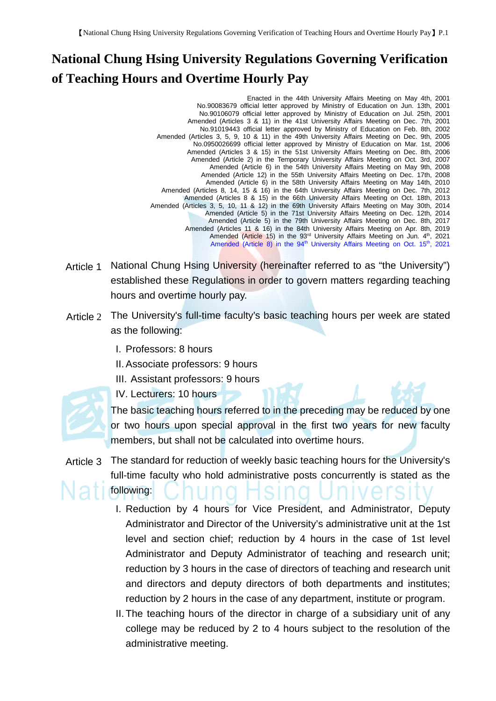## **National Chung Hsing University Regulations Governing Verification of Teaching Hours and Overtime Hourly Pay**

Enacted in the 44th University Affairs Meeting on May 4th, 2001 No.90083679 official letter approved by Ministry of Education on Jun. 13th, 2001 No.90106079 official letter approved by Ministry of Education on Jul. 25th, 2001 Amended (Articles 3 & 11) in the 41st University Affairs Meeting on Dec. 7th, 2001 No.91019443 official letter approved by Ministry of Education on Feb. 8th, 2002 Amended (Articles 3, 5, 9, 10 & 11) in the 49th University Affairs Meeting on Dec. 9th, 2005 No.0950026699 official letter approved by Ministry of Education on Mar. 1st, 2006 Amended (Articles 3 & 15) in the 51st University Affairs Meeting on Dec. 8th, 2006 Amended (Article 2) in the Temporary University Affairs Meeting on Oct. 3rd, 2007 Amended (Article 6) in the 54th University Affairs Meeting on May 9th, 2008 Amended (Article 12) in the 55th University Affairs Meeting on Dec. 17th, 2008 Amended (Article 6) in the 58th University Affairs Meeting on May 14th, 2010 Amended (Articles 8, 14, 15 & 16) in the 64th University Affairs Meeting on Dec. 7th, 2012 Amended (Articles 8 & 15) in the 66th University Affairs Meeting on Oct. 18th, 2013 Amended (Articles 3, 5, 10, 11 & 12) in the 69th University Affairs Meeting on May 30th, 2014 Amended (Article 5) in the 71st University Affairs Meeting on Dec. 12th, 2014 Amended (Article 5) in the 79th University Affairs Meeting on Dec. 8th, 2017 Amended (Articles 11 & 16) in the 84th University Affairs Meeting on Apr. 8th, 2019 Amended (Article 15) in the 93<sup>rd</sup> University Affairs Meeting on Jun. 4<sup>th</sup>, 2021 Amended (Article 8) in the 94<sup>th</sup> University Affairs Meeting on Oct. 15<sup>th</sup>, 2021

- Article 1 National Chung Hsing University (hereinafter referred to as "the University") established these Regulations in order to govern matters regarding teaching hours and overtime hourly pay.
- Article 2 The University's full-time faculty's basic teaching hours per week are stated as the following:
	- I. Professors: 8 hours
	- II.Associate professors: 9 hours
	- III. Assistant professors: 9 hours
	- IV. Lecturers: 10 hours



The basic teaching hours referred to in the preceding may be reduced by one or two hours upon special approval in the first two years for new faculty members, but shall not be calculated into overtime hours.

- Article 3 The standard for reduction of weekly basic teaching hours for the University's full-time faculty who hold administrative posts concurrently is stated as the following:
	- I. Reduction by 4 hours for Vice President, and Administrator, Deputy Administrator and Director of the University's administrative unit at the 1st level and section chief; reduction by 4 hours in the case of 1st level Administrator and Deputy Administrator of teaching and research unit; reduction by 3 hours in the case of directors of teaching and research unit and directors and deputy directors of both departments and institutes; reduction by 2 hours in the case of any department, institute or program.
	- II. The teaching hours of the director in charge of a subsidiary unit of any college may be reduced by 2 to 4 hours subject to the resolution of the administrative meeting.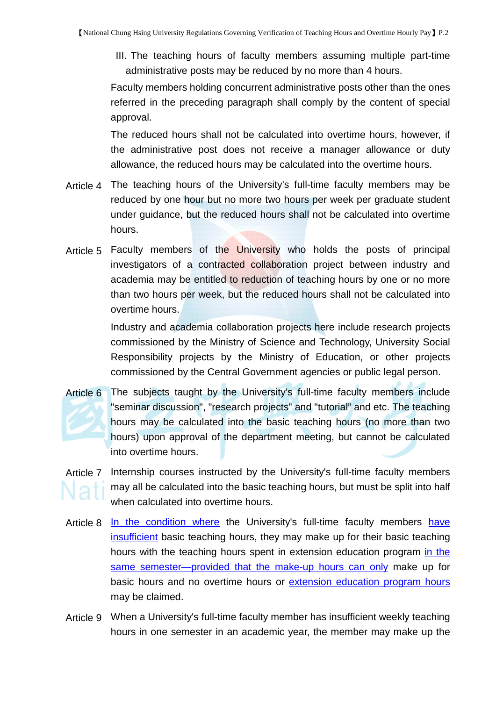III. The teaching hours of faculty members assuming multiple part-time administrative posts may be reduced by no more than 4 hours.

Faculty members holding concurrent administrative posts other than the ones referred in the preceding paragraph shall comply by the content of special approval.

The reduced hours shall not be calculated into overtime hours, however, if the administrative post does not receive a manager allowance or duty allowance, the reduced hours may be calculated into the overtime hours.

- Article 4 The teaching hours of the University's full-time faculty members may be reduced by one hour but no more two hours per week per graduate student under guidance, but the reduced hours shall not be calculated into overtime hours.
- Article 5 Faculty members of the University who holds the posts of principal investigators of a contracted collaboration project between industry and academia may be entitled to reduction of teaching hours by one or no more than two hours per week, but the reduced hours shall not be calculated into overtime hours.

Industry and academia collaboration projects here include research projects commissioned by the Ministry of Science and Technology, University Social Responsibility projects by the Ministry of Education, or other projects commissioned by the Central Government agencies or public legal person.

Article 6 The subjects taught by the University's full-time faculty members include "seminar discussion", "research projects" and "tutorial" and etc. The teaching hours may be calculated into the basic teaching hours (no more than two hours) upon approval of the department meeting, but cannot be calculated into overtime hours.

## Article 7 Internship courses instructed by the University's full-time faculty members may all be calculated into the basic teaching hours, but must be split into half when calculated into overtime hours.

- Article 8 In the condition where the University's full-time faculty members have insufficient basic teaching hours, they may make up for their basic teaching hours with the teaching hours spent in extension education program in the same semester—provided that the make-up hours can only make up for basic hours and no overtime hours or extension education program hours may be claimed.
- Article 9 When a University's full-time faculty member has insufficient weekly teaching hours in one semester in an academic year, the member may make up the